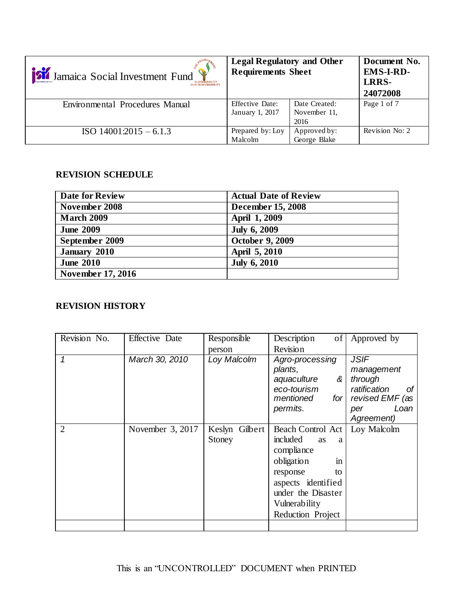| Si Jamaica Social Investment Fund | <b>Legal Regulatory and Other</b><br><b>Requirements Sheet</b> |                                       | Document No.<br><b>EMS-I-RD-</b><br>LRRS-<br>24072008 |
|-----------------------------------|----------------------------------------------------------------|---------------------------------------|-------------------------------------------------------|
| Environmental Procedures Manual   | <b>Effective Date:</b><br>January 1, 2017                      | Date Created:<br>November 11,<br>2016 | Page 1 of 7                                           |
| $ISO 14001:2015 - 6.1.3$          | Prepared by: Loy<br>Malcolm                                    | Approved by:<br>George Blake          | Revision No: 2                                        |

#### **REVISION SCHEDULE**

| <b>Date for Review</b>   | <b>Actual Date of Review</b> |
|--------------------------|------------------------------|
| November 2008            | <b>December 15, 2008</b>     |
| <b>March 2009</b>        | April 1, 2009                |
| <b>June 2009</b>         | <b>July 6, 2009</b>          |
| September 2009           | <b>October 9, 2009</b>       |
| January 2010             | April 5, 2010                |
| <b>June 2010</b>         | <b>July 6, 2010</b>          |
| <b>November 17, 2016</b> |                              |

## **REVISION HISTORY**

| Revision No.   | Effective Date   | Responsible    | Description<br>of              | Approved by        |
|----------------|------------------|----------------|--------------------------------|--------------------|
|                |                  | person         | Revision                       |                    |
| 1              | March 30, 2010   | Loy Malcolm    | <b>JSIF</b><br>Agro-processing |                    |
|                |                  |                | plants,                        | management         |
|                |                  |                | aquaculture<br>&               | through            |
|                |                  |                | eco-tourism                    | ratification<br>Οf |
|                |                  |                | mentioned<br>for <sub>l</sub>  | revised EMF (as    |
|                |                  |                | permits.                       | Loan<br>per        |
|                |                  |                |                                | Agreement)         |
| $\overline{2}$ | November 3, 2017 | Keslyn Gilbert | Beach Control Act              | Loy Malcolm        |
|                |                  | Stoney         | included<br><b>as</b><br>a     |                    |
|                |                  |                | compliance                     |                    |
|                |                  |                | obligation<br>in               |                    |
|                |                  |                | response<br>to                 |                    |
|                |                  |                | aspects identified             |                    |
|                |                  |                | under the Disaster             |                    |
|                |                  |                | Vulnerability                  |                    |
|                |                  |                | Reduction Project              |                    |
|                |                  |                |                                |                    |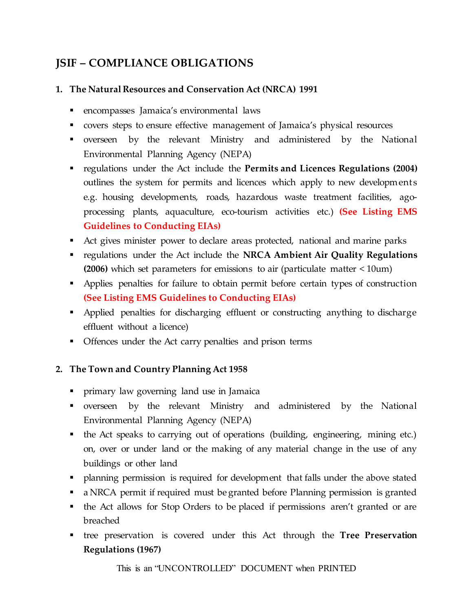# **JSIF – COMPLIANCE OBLIGATIONS**

# **1. The Natural Resources and Conservation Act (NRCA) 1991**

- encompasses Jamaica's environmental laws
- covers steps to ensure effective management of Jamaica's physical resources
- overseen by the relevant Ministry and administered by the National Environmental Planning Agency (NEPA)
- regulations under the Act include the **Permits and Licences Regulations (2004)** outlines the system for permits and licences which apply to new developments e.g. housing developments, roads, hazardous waste treatment facilities, agoprocessing plants, aquaculture, eco-tourism activities etc.) **(See Listing EMS Guidelines to Conducting EIAs)**
- Act gives minister power to declare areas protected, national and marine parks
- regulations under the Act include the **NRCA Ambient Air Quality Regulations (2006)** which set parameters for emissions to air (particulate matter < 10um)
- Applies penalties for failure to obtain permit before certain types of construction **(See Listing EMS Guidelines to Conducting EIAs)**
- Applied penalties for discharging effluent or constructing anything to discharge effluent without a licence)
- Offences under the Act carry penalties and prison terms

## **2. The Town and Country Planning Act 1958**

- primary law governing land use in Jamaica
- overseen by the relevant Ministry and administered by the National Environmental Planning Agency (NEPA)
- the Act speaks to carrying out of operations (building, engineering, mining etc.) on, over or under land or the making of any material change in the use of any buildings or other land
- planning permission is required for development that falls under the above stated
- a NRCA permit if required must be granted before Planning permission is granted
- the Act allows for Stop Orders to be placed if permissions aren't granted or are breached
- tree preservation is covered under this Act through the **Tree Preservation Regulations (1967)**

This is an "UNCONTROLLED" DOCUMENT when PRINTED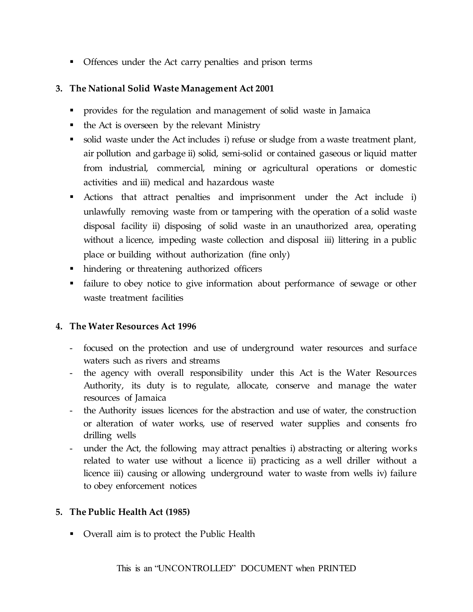• Offences under the Act carry penalties and prison terms

## **3. The National Solid Waste Management Act 2001**

- provides for the regulation and management of solid waste in Jamaica
- $\blacksquare$  the Act is overseen by the relevant Ministry
- solid waste under the Act includes i) refuse or sludge from a waste treatment plant, air pollution and garbage ii) solid, semi-solid or contained gaseous or liquid matter from industrial, commercial, mining or agricultural operations or domestic activities and iii) medical and hazardous waste
- Actions that attract penalties and imprisonment under the Act include i) unlawfully removing waste from or tampering with the operation of a solid waste disposal facility ii) disposing of solid waste in an unauthorized area, operating without a licence, impeding waste collection and disposal iii) littering in a public place or building without authorization (fine only)
- hindering or threatening authorized officers
- failure to obey notice to give information about performance of sewage or other waste treatment facilities

## **4. The Water Resources Act 1996**

- focused on the protection and use of underground water resources and surface waters such as rivers and streams
- the agency with overall responsibility under this Act is the Water Resources Authority, its duty is to regulate, allocate, conserve and manage the water resources of Jamaica
- the Authority issues licences for the abstraction and use of water, the construction or alteration of water works, use of reserved water supplies and consents fro drilling wells
- under the Act, the following may attract penalties i) abstracting or altering works related to water use without a licence ii) practicing as a well driller without a licence iii) causing or allowing underground water to waste from wells iv) failure to obey enforcement notices

## **5. The Public Health Act (1985)**

• Overall aim is to protect the Public Health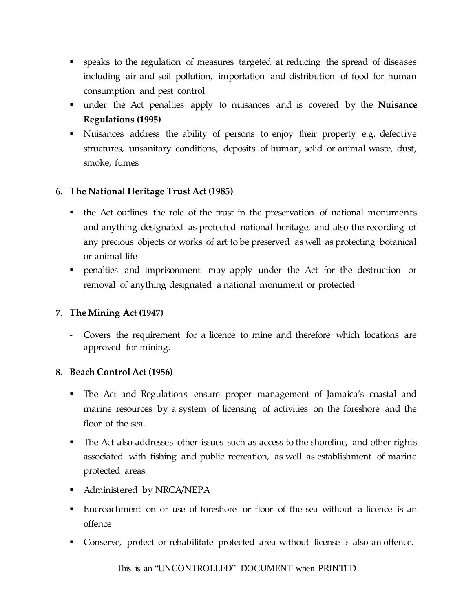- speaks to the regulation of measures targeted at reducing the spread of diseases including air and soil pollution, importation and distribution of food for human consumption and pest control
- under the Act penalties apply to nuisances and is covered by the **Nuisance Regulations (1995)**
- Nuisances address the ability of persons to enjoy their property e.g. defective structures, unsanitary conditions, deposits of human, solid or animal waste, dust, smoke, fumes

## **6. The National Heritage Trust Act (1985)**

- the Act outlines the role of the trust in the preservation of national monuments and anything designated as protected national heritage, and also the recording of any precious objects or works of art to be preserved as well as protecting botanical or animal life
- penalties and imprisonment may apply under the Act for the destruction or removal of anything designated a national monument or protected

## **7. The Mining Act (1947)**

Covers the requirement for a licence to mine and therefore which locations are approved for mining.

## **8. Beach Control Act (1956)**

- The Act and Regulations ensure proper management of Jamaica's coastal and marine resources by a system of licensing of activities on the foreshore and the floor of the sea.
- The Act also addresses other issues such as access to the shoreline, and other rights associated with fishing and public recreation, as well as establishment of marine protected areas.
- **Administered by NRCA/NEPA**
- Encroachment on or use of foreshore or floor of the sea without a licence is an offence
- Conserve, protect or rehabilitate protected area without license is also an offence.

This is an "UNCONTROLLED" DOCUMENT when PRINTED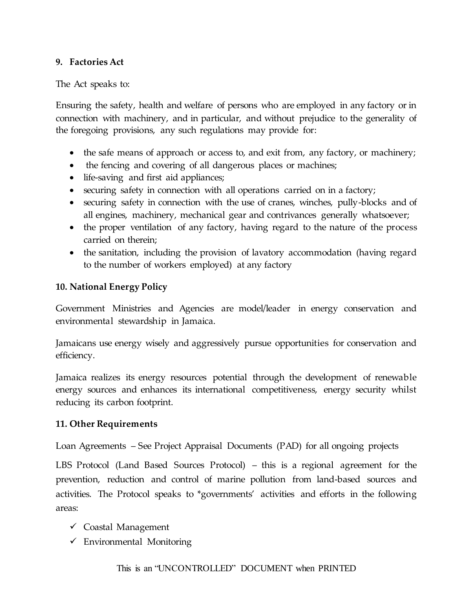#### **9. Factories Act**

The Act speaks to:

Ensuring the safety, health and welfare of persons who are employed in any factory or in connection with machinery, and in particular, and without prejudice to the generality of the foregoing provisions, any such regulations may provide for:

- the safe means of approach or access to, and exit from, any factory, or machinery;
- the fencing and covering of all dangerous places or machines;
- life-saving and first aid appliances;
- securing safety in connection with all operations carried on in a factory;
- securing safety in connection with the use of cranes, winches, pully-blocks and of all engines, machinery, mechanical gear and contrivances generally whatsoever;
- the proper ventilation of any factory, having regard to the nature of the process carried on therein;
- the sanitation, including the provision of lavatory accommodation (having regard to the number of workers employed) at any factory

#### **10. National Energy Policy**

Government Ministries and Agencies are model/leader in energy conservation and environmental stewardship in Jamaica.

Jamaicans use energy wisely and aggressively pursue opportunities for conservation and efficiency.

Jamaica realizes its energy resources potential through the development of renewable energy sources and enhances its international competitiveness, energy security whilst reducing its carbon footprint.

#### **11. Other Requirements**

Loan Agreements – See Project Appraisal Documents (PAD) for all ongoing projects

LBS Protocol (Land Based Sources Protocol) – this is a regional agreement for the prevention, reduction and control of marine pollution from land-based sources and activities. The Protocol speaks to \*governments' activities and efforts in the following areas:

- $\checkmark$  Coastal Management
- $\checkmark$  Environmental Monitoring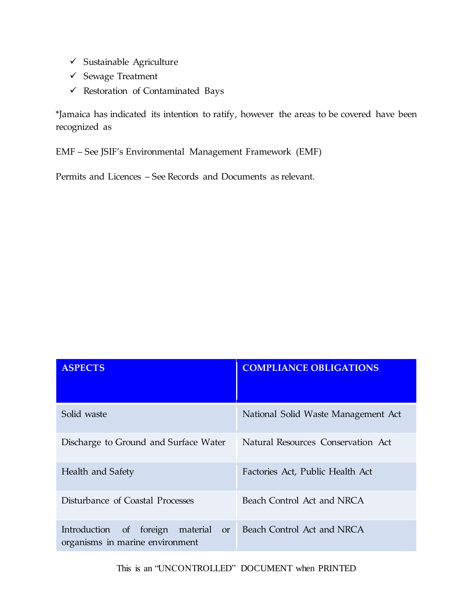- $\checkmark$  Sustainable Agriculture
- $\checkmark$  Sewage Treatment
- $\checkmark$  Restoration of Contaminated Bays

\*Jamaica has indicated its intention to ratify, however the areas to be covered have been recognized as

EMF – See JSIF's Environmental Management Framework (EMF)

Permits and Licences – See Records and Documents as relevant.

| <b>ASPECTS</b>                                                                          | <b>COMPLIANCE OBLIGATIONS</b>       |
|-----------------------------------------------------------------------------------------|-------------------------------------|
| Solid waste                                                                             | National Solid Waste Management Act |
| Discharge to Ground and Surface Water                                                   | Natural Resources Conservation Act  |
| Health and Safety                                                                       | Factories Act, Public Health Act    |
| Disturbance of Coastal Processes                                                        | Beach Control Act and NRCA          |
| Introduction of<br>foreign material<br><sub>or</sub><br>organisms in marine environment | Beach Control Act and NRCA          |

This is an "UNCONTROLLED" DOCUMENT when PRINTED